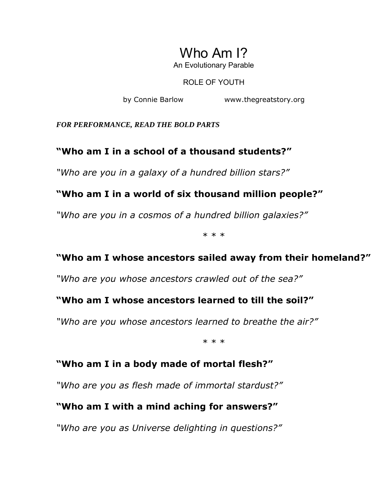## Who Am I? An Evolutionary Parable

ROLE OF YOUTH

by Connie Barlow www.thegreatstory.org

*FOR PERFORMANCE, READ THE BOLD PARTS* 

## **ìWho am I in a school of a thousand students?î**

*"Who are you in a galaxy of a hundred billion stars?"* 

## **ìWho am I in a world of six thousand million people?î**

<sup>"</sup>Who are you in a cosmos of a hundred billion galaxies?"

\* \* \*

## **ìWho am I whose ancestors sailed away from their homeland?î**

"Who are you whose ancestors crawled out of the sea?"

#### **ìWho am I whose ancestors learned to till the soil?î**

*"Who are you whose ancestors learned to breathe the air?"* 

\* \* \*

## **ìWho am I in a body made of mortal flesh?î**

*ìWho are you as flesh made of immortal stardust?î*

## **ìWho am I with a mind aching for answers?î**

*Nho are you as Universe delighting in questions?"*